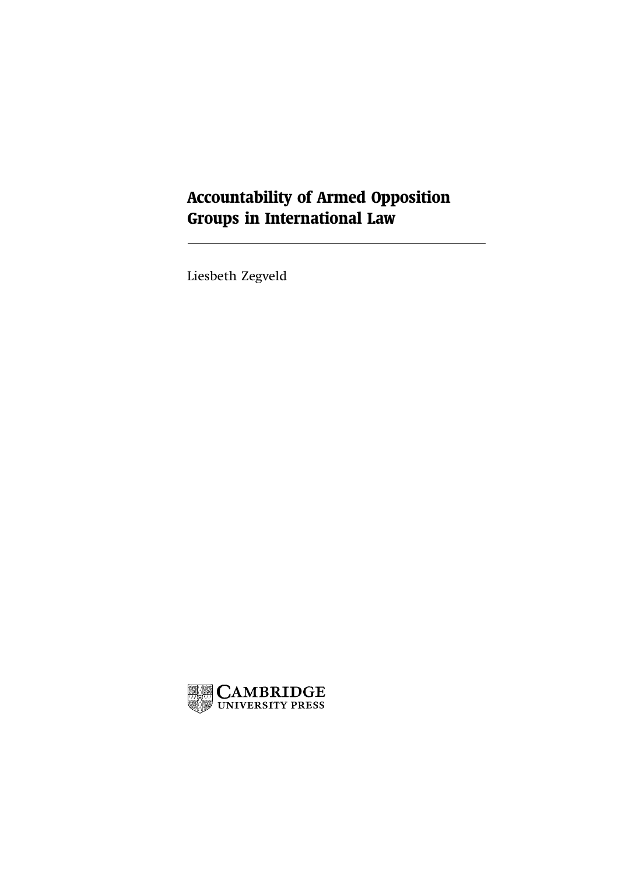# **Accountability of Armed Opposition Groups in International Law**

Liesbeth Zegveld

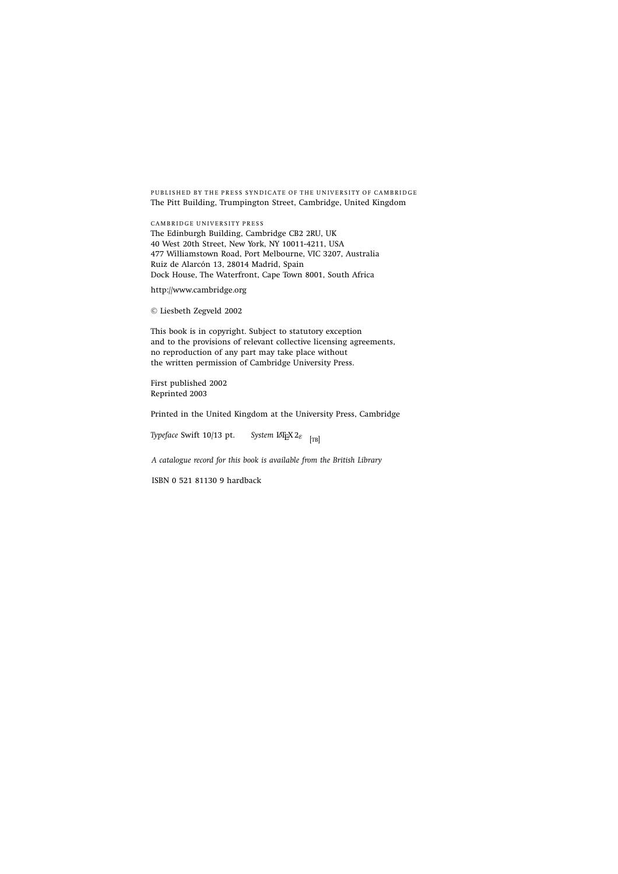PUBLISHED BY THE PRESS SYNDICATE OF THE UNIVERSITY OF CAMBRIDGE The Pitt Building, Trumpington Street, Cambridge, United Kingdom

CAMBRIDGE UNIVERSITY PRESS The Edinburgh Building, Cambridge CB2 2RU, UK 40 West 20th Street, New York, NY 10011-4211, USA 477 Williamstown Road, Port Melbourne, VIC 3207, Australia Ruiz de Alarcón 13, 28014 Madrid, Spain Dock House, The Waterfront, Cape Town 8001, South Africa

http://www.cambridge.org

<sup>C</sup> Liesbeth Zegveld 2002

This book is in copyright. Subject to statutory exception and to the provisions of relevant collective licensing agreements, no reproduction of any part may take place without the written permission of Cambridge University Press.

First published 2002 Reprinted 2003

Printed in the United Kingdom at the University Press, Cambridge

*Typeface* Swift 10/13 pt. *System L*AT<sub>E</sub>X 2<sub>ε [TB]</sub>

*A catalogue record for this book is available from the British Library*

ISBN 0 521 81130 9 hardback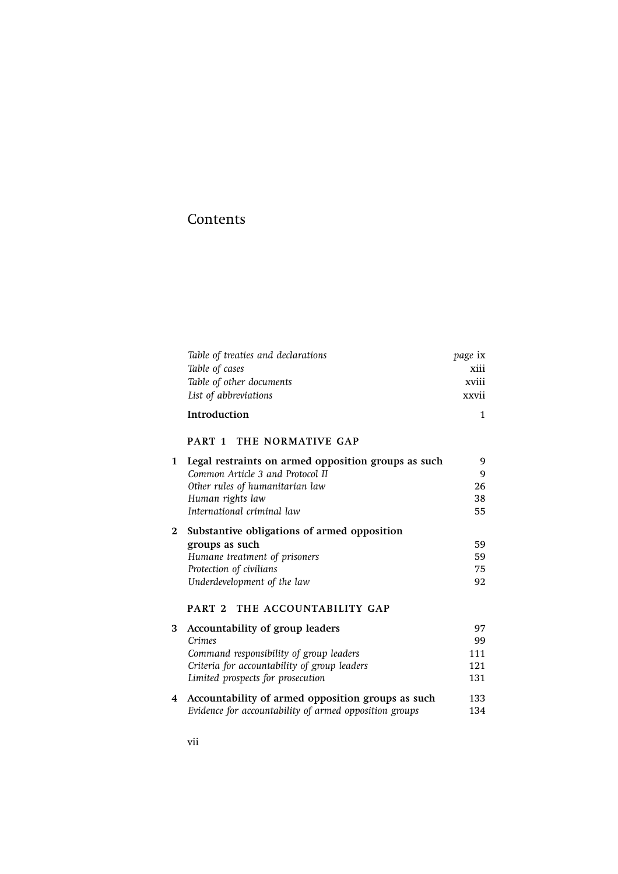# **Contents**

|   | Table of treaties and declarations                     | page ix      |
|---|--------------------------------------------------------|--------------|
|   | Table of cases                                         | xiii         |
|   | Table of other documents                               | xviii        |
|   | List of abbreviations                                  | xxvii        |
|   | Introduction                                           | $\mathbf{1}$ |
|   | PART 1 THE NORMATIVE GAP                               |              |
| 1 | Legal restraints on armed opposition groups as such    | 9            |
|   | Common Article 3 and Protocol II                       | 9            |
|   | Other rules of humanitarian law                        | 26           |
|   | Human rights law                                       | 38           |
|   | International criminal law                             | 55           |
| 2 | Substantive obligations of armed opposition            |              |
|   | groups as such                                         | 59           |
|   | Humane treatment of prisoners                          | 59           |
|   | Protection of civilians                                | 75           |
|   | Underdevelopment of the law                            | 92           |
|   | PART 2 THE ACCOUNTABILITY GAP                          |              |
| 3 | Accountability of group leaders                        | 97           |
|   | Crimes                                                 | 99           |
|   | Command responsibility of group leaders                | 111          |
|   | Criteria for accountability of group leaders           | 121          |
|   | Limited prospects for prosecution                      | 131          |
| 4 | Accountability of armed opposition groups as such      | 133          |
|   | Evidence for accountability of armed opposition groups | 134          |
|   |                                                        |              |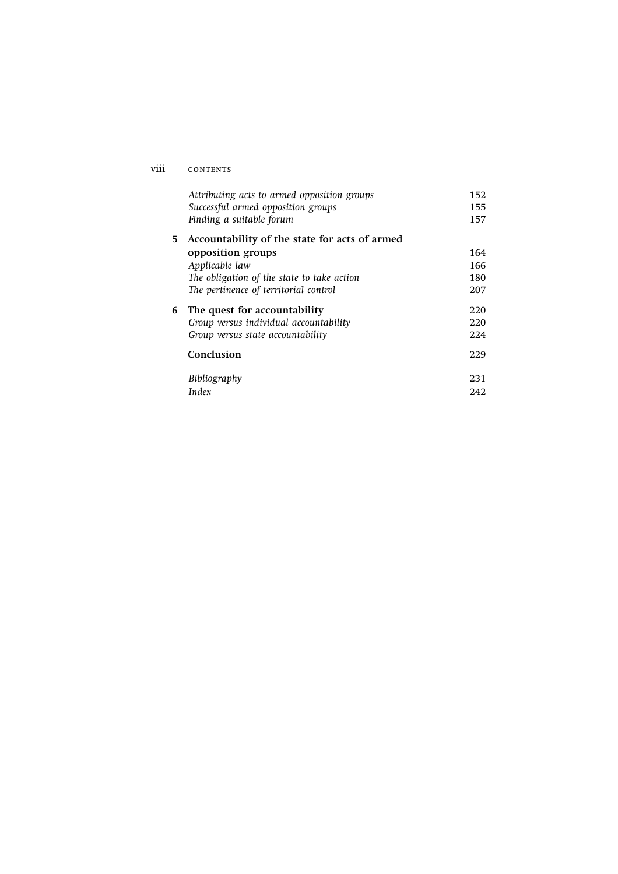## viii contents

|    | Attributing acts to armed opposition groups<br>Successful armed opposition groups | 152<br>155 |
|----|-----------------------------------------------------------------------------------|------------|
|    | Finding a suitable forum                                                          | 157        |
| 5. | Accountability of the state for acts of armed                                     |            |
|    | opposition groups                                                                 | 164        |
|    | Applicable law                                                                    | 166        |
|    | The obligation of the state to take action                                        | 180        |
|    | The pertinence of territorial control                                             | 207        |
| 6  | The quest for accountability                                                      | 220        |
|    | Group versus individual accountability                                            | 220        |
|    | Group versus state accountability                                                 | 224        |
|    | Conclusion                                                                        | 229        |
|    | Bibliography                                                                      | 231        |
|    | Index                                                                             | 242        |
|    |                                                                                   |            |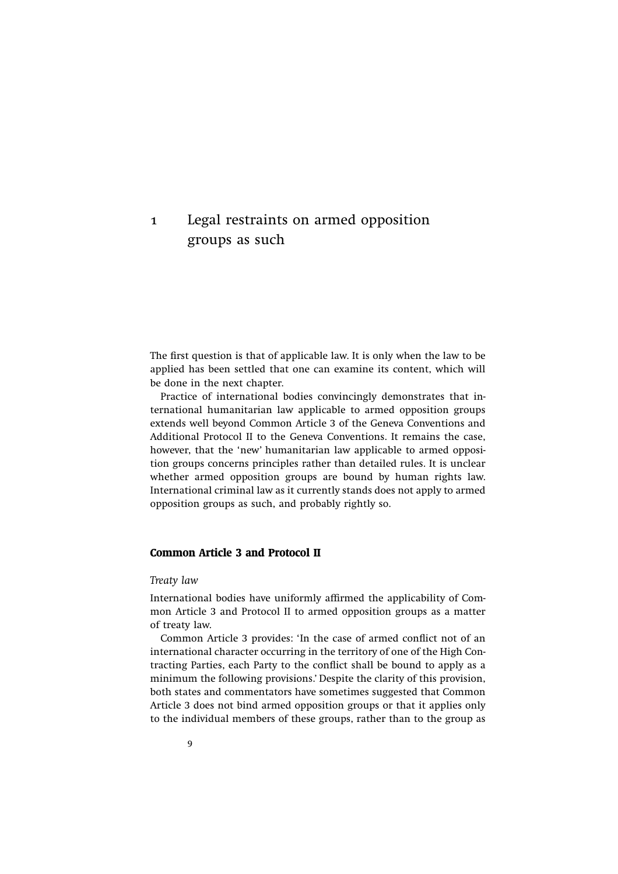# 1 Legal restraints on armed opposition groups as such

The first question is that of applicable law. It is only when the law to be applied has been settled that one can examine its content, which will be done in the next chapter.

Practice of international bodies convincingly demonstrates that international humanitarian law applicable to armed opposition groups extends well beyond Common Article 3 of the Geneva Conventions and Additional Protocol II to the Geneva Conventions. It remains the case, however, that the 'new' humanitarian law applicable to armed opposition groups concerns principles rather than detailed rules. It is unclear whether armed opposition groups are bound by human rights law. International criminal law as it currently stands does not apply to armed opposition groups as such, and probably rightly so.

#### **Common Article 3 and Protocol II**

#### *Treaty law*

International bodies have uniformly affirmed the applicability of Common Article 3 and Protocol II to armed opposition groups as a matter of treaty law.

Common Article 3 provides: 'In the case of armed conflict not of an international character occurring in the territory of one of the High Contracting Parties, each Party to the conflict shall be bound to apply as a minimum the following provisions.' Despite the clarity of this provision, both states and commentators have sometimes suggested that Common Article 3 does not bind armed opposition groups or that it applies only to the individual members of these groups, rather than to the group as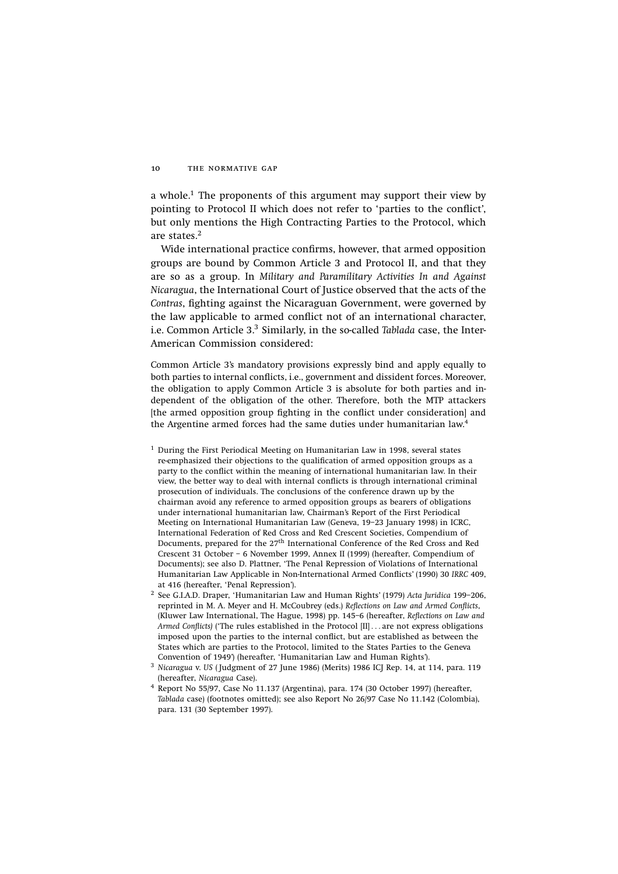a whole.<sup>1</sup> The proponents of this argument may support their view by pointing to Protocol II which does not refer to 'parties to the conflict', but only mentions the High Contracting Parties to the Protocol, which are states $2$ 

Wide international practice confirms, however, that armed opposition groups are bound by Common Article 3 and Protocol II, and that they are so as a group. In *Military and Paramilitary Activities In and Against Nicaragua*, the International Court of Justice observed that the acts of the *Contras*, fighting against the Nicaraguan Government, were governed by the law applicable to armed conflict not of an international character, i.e. Common Article 3.3 Similarly, in the so-called *Tablada* case, the Inter-American Commission considered:

Common Article 3's mandatory provisions expressly bind and apply equally to both parties to internal conflicts, i.e., government and dissident forces. Moreover, the obligation to apply Common Article 3 is absolute for both parties and independent of the obligation of the other. Therefore, both the MTP attackers [the armed opposition group fighting in the conflict under consideration] and the Argentine armed forces had the same duties under humanitarian law.<sup>4</sup>

- <sup>1</sup> During the First Periodical Meeting on Humanitarian Law in 1998, several states re-emphasized their objections to the qualification of armed opposition groups as a party to the conflict within the meaning of international humanitarian law. In their view, the better way to deal with internal conflicts is through international criminal prosecution of individuals. The conclusions of the conference drawn up by the chairman avoid any reference to armed opposition groups as bearers of obligations under international humanitarian law, Chairman's Report of the First Periodical Meeting on International Humanitarian Law (Geneva, 19–23 January 1998) in ICRC, International Federation of Red Cross and Red Crescent Societies, Compendium of Documents, prepared for the 27<sup>th</sup> International Conference of the Red Cross and Red Crescent 31 October – 6 November 1999, Annex II (1999) (hereafter, Compendium of Documents); see also D. Plattner, 'The Penal Repression of Violations of International Humanitarian Law Applicable in Non-International Armed Conflicts' (1990) 30 *IRRC* 409, at 416 (hereafter, 'Penal Repression').
- <sup>2</sup> See G.I.A.D. Draper, 'Humanitarian Law and Human Rights' (1979) *Acta Juridica* 199–206, reprinted in M. A. Meyer and H. McCoubrey (eds.) *Reflections on Law and Armed Conflicts*, (Kluwer Law International, The Hague, 1998) pp. 145–6 (hereafter, *Reflections on Law and Armed Conflicts)* ('The rules established in the Protocol [II] *...* are not express obligations imposed upon the parties to the internal conflict, but are established as between the States which are parties to the Protocol, limited to the States Parties to the Geneva Convention of 1949') (hereafter, 'Humanitarian Law and Human Rights').
- <sup>3</sup> *Nicaragua* v. *US* ( Judgment of 27 June 1986) (Merits) 1986 ICJ Rep. 14, at 114, para. 119 (hereafter, *Nicaragua* Case).
- <sup>4</sup> Report No 55/97, Case No 11.137 (Argentina), para. 174 (30 October 1997) (hereafter, *Tablada* case) (footnotes omitted); see also Report No 26/97 Case No 11.142 (Colombia), para. 131 (30 September 1997).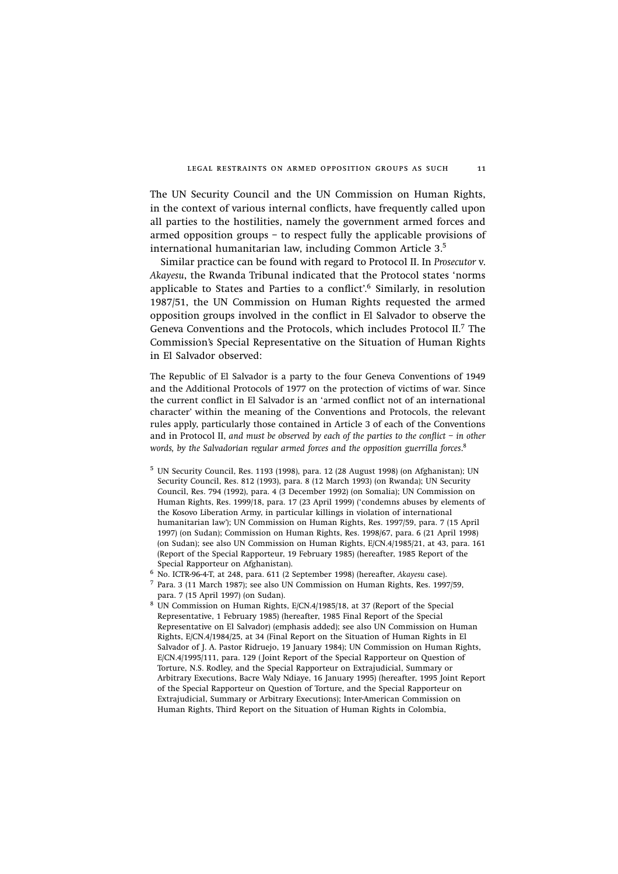The UN Security Council and the UN Commission on Human Rights, in the context of various internal conflicts, have frequently called upon all parties to the hostilities, namely the government armed forces and armed opposition groups – to respect fully the applicable provisions of international humanitarian law, including Common Article 3.5

Similar practice can be found with regard to Protocol II. In *Prosecutor* v. *Akayesu*, the Rwanda Tribunal indicated that the Protocol states 'norms applicable to States and Parties to a conflict'.<sup>6</sup> Similarly, in resolution 1987/51, the UN Commission on Human Rights requested the armed opposition groups involved in the conflict in El Salvador to observe the Geneva Conventions and the Protocols, which includes Protocol II.7 The Commission's Special Representative on the Situation of Human Rights in El Salvador observed:

The Republic of El Salvador is a party to the four Geneva Conventions of 1949 and the Additional Protocols of 1977 on the protection of victims of war. Since the current conflict in El Salvador is an 'armed conflict not of an international character' within the meaning of the Conventions and Protocols, the relevant rules apply, particularly those contained in Article 3 of each of the Conventions and in Protocol II, *and must be observed by each of the parties to the conflict – in other words, by the Salvadorian regular armed forces and the opposition guerrilla forces*. 8

- <sup>5</sup> UN Security Council, Res. 1193 (1998), para. 12 (28 August 1998) (on Afghanistan); UN Security Council, Res. 812 (1993), para. 8 (12 March 1993) (on Rwanda); UN Security Council, Res. 794 (1992), para. 4 (3 December 1992) (on Somalia); UN Commission on Human Rights, Res. 1999/18, para. 17 (23 April 1999) ('condemns abuses by elements of the Kosovo Liberation Army, in particular killings in violation of international humanitarian law'); UN Commission on Human Rights, Res. 1997/59, para. 7 (15 April 1997) (on Sudan); Commission on Human Rights, Res. 1998/67, para. 6 (21 April 1998) (on Sudan); see also UN Commission on Human Rights, E/CN.4/1985/21, at 43, para. 161 (Report of the Special Rapporteur, 19 February 1985) (hereafter, 1985 Report of the Special Rapporteur on Afghanistan).
- <sup>6</sup> No. ICTR-96-4-T, at 248, para. 611 (2 September 1998) (hereafter, *Akayesu* case).
- <sup>7</sup> Para. 3 (11 March 1987); see also UN Commission on Human Rights, Res. 1997/59, para. 7 (15 April 1997) (on Sudan).
- <sup>8</sup> UN Commission on Human Rights, E/CN.4/1985/18, at 37 (Report of the Special Representative, 1 February 1985) (hereafter, 1985 Final Report of the Special Representative on El Salvador) (emphasis added); see also UN Commission on Human Rights, E/CN.4/1984/25, at 34 (Final Report on the Situation of Human Rights in El Salvador of J. A. Pastor Ridruejo, 19 January 1984); UN Commission on Human Rights, E/CN.4/1995/111, para. 129 ( Joint Report of the Special Rapporteur on Question of Torture, N.S. Rodley, and the Special Rapporteur on Extrajudicial, Summary or Arbitrary Executions, Bacre Waly Ndiaye, 16 January 1995) (hereafter, 1995 Joint Report of the Special Rapporteur on Question of Torture, and the Special Rapporteur on Extrajudicial, Summary or Arbitrary Executions); Inter-American Commission on Human Rights, Third Report on the Situation of Human Rights in Colombia,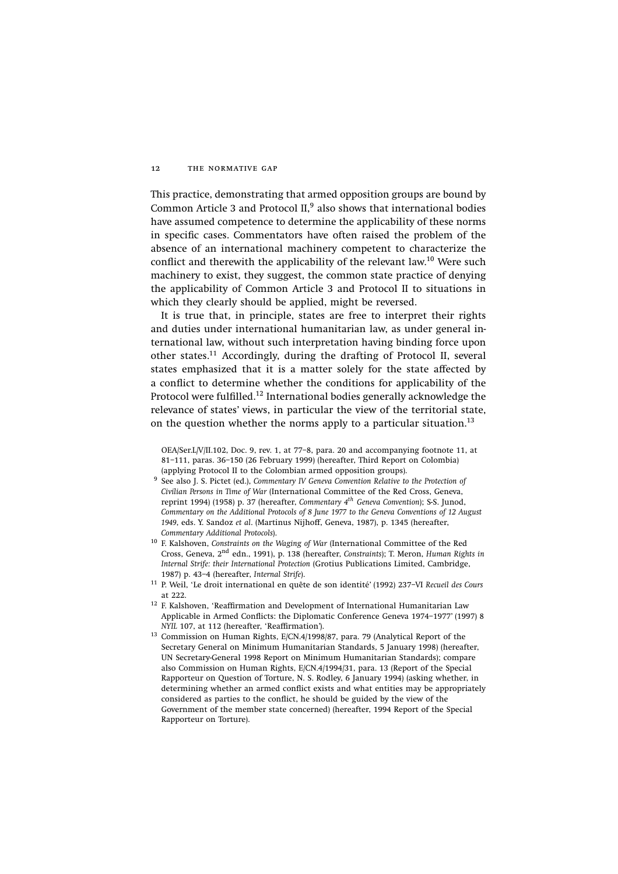This practice, demonstrating that armed opposition groups are bound by Common Article 3 and Protocol II,<sup>9</sup> also shows that international bodies have assumed competence to determine the applicability of these norms in specific cases. Commentators have often raised the problem of the absence of an international machinery competent to characterize the conflict and therewith the applicability of the relevant law.10 Were such machinery to exist, they suggest, the common state practice of denying the applicability of Common Article 3 and Protocol II to situations in which they clearly should be applied, might be reversed.

It is true that, in principle, states are free to interpret their rights and duties under international humanitarian law, as under general international law, without such interpretation having binding force upon other states.<sup>11</sup> Accordingly, during the drafting of Protocol II, several states emphasized that it is a matter solely for the state affected by a conflict to determine whether the conditions for applicability of the Protocol were fulfilled.12 International bodies generally acknowledge the relevance of states' views, in particular the view of the territorial state, on the question whether the norms apply to a particular situation.13

OEA/Ser.L/V/II.102, Doc. 9, rev. 1, at 77–8, para. 20 and accompanying footnote 11, at 81–111, paras. 36–150 (26 February 1999) (hereafter, Third Report on Colombia) (applying Protocol II to the Colombian armed opposition groups).

- <sup>9</sup> See also J. S. Pictet (ed.), *Commentary IV Geneva Convention Relative to the Protection of Civilian Persons in Time of War* (International Committee of the Red Cross, Geneva, reprint 1994) (1958) p. 37 (hereafter, *Commentary 4th Geneva Convention*); S-S. Junod, *Commentary on the Additional Protocols of 8 June 1977 to the Geneva Conventions of 12 August 1949*, eds. Y. Sandoz *et al*. (Martinus Nijhoff, Geneva, 1987), p. 1345 (hereafter, *Commentary Additional Protocols*).
- <sup>10</sup> F. Kalshoven, *Constraints on the Waging of War* (International Committee of the Red Cross, Geneva, 2nd edn., 1991), p. 138 (hereafter, *Constraints*); T. Meron, *Human Rights in Internal Strife: their International Protection* (Grotius Publications Limited, Cambridge, 1987) p. 43–4 (hereafter, *Internal Strife*).
- <sup>11</sup> P. Weil, 'Le droit international en quête de son identité' (1992) 237-VI Recueil des Cours at 222.
- $^{12}$  F. Kalshoven, 'Reaffirmation and Development of International Humanitarian Law Applicable in Armed Conflicts: the Diplomatic Conference Geneva 1974–1977' (1997) 8 *NYIL* 107, at 112 (hereafter, 'Reaffirmation').
- <sup>13</sup> Commission on Human Rights, E/CN.4/1998/87, para. 79 (Analytical Report of the Secretary General on Minimum Humanitarian Standards, 5 January 1998) (hereafter, UN Secretary-General 1998 Report on Minimum Humanitarian Standards); compare also Commission on Human Rights, E/CN.4/1994/31, para. 13 (Report of the Special Rapporteur on Question of Torture, N. S. Rodley, 6 January 1994) (asking whether, in determining whether an armed conflict exists and what entities may be appropriately considered as parties to the conflict, he should be guided by the view of the Government of the member state concerned) (hereafter, 1994 Report of the Special Rapporteur on Torture).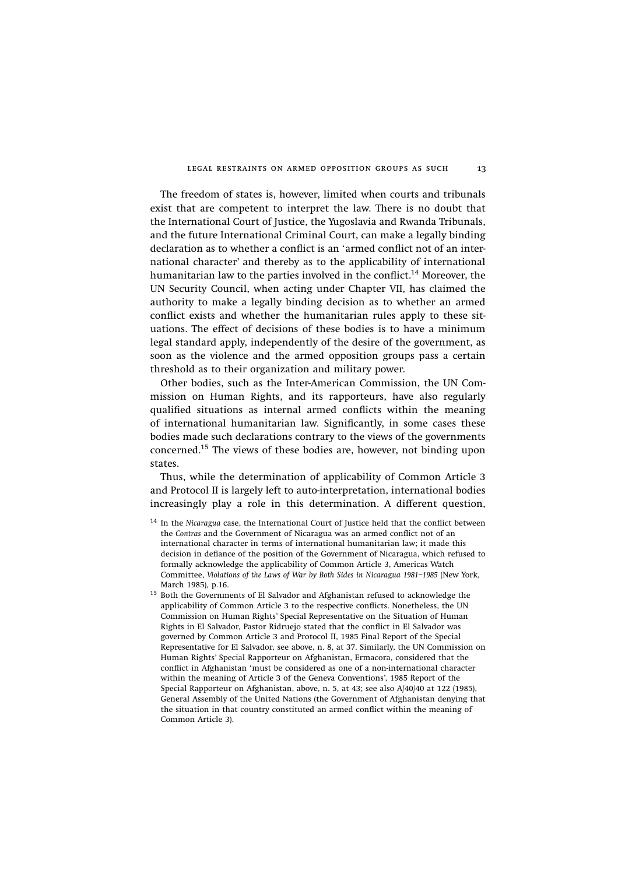The freedom of states is, however, limited when courts and tribunals exist that are competent to interpret the law. There is no doubt that the International Court of Justice, the Yugoslavia and Rwanda Tribunals, and the future International Criminal Court, can make a legally binding declaration as to whether a conflict is an 'armed conflict not of an international character' and thereby as to the applicability of international humanitarian law to the parties involved in the conflict.<sup>14</sup> Moreover, the UN Security Council, when acting under Chapter VII, has claimed the authority to make a legally binding decision as to whether an armed conflict exists and whether the humanitarian rules apply to these situations. The effect of decisions of these bodies is to have a minimum legal standard apply, independently of the desire of the government, as soon as the violence and the armed opposition groups pass a certain threshold as to their organization and military power.

Other bodies, such as the Inter-American Commission, the UN Commission on Human Rights, and its rapporteurs, have also regularly qualified situations as internal armed conflicts within the meaning of international humanitarian law. Significantly, in some cases these bodies made such declarations contrary to the views of the governments concerned.<sup>15</sup> The views of these bodies are, however, not binding upon states.

Thus, while the determination of applicability of Common Article 3 and Protocol II is largely left to auto-interpretation, international bodies increasingly play a role in this determination. A different question,

<sup>14</sup> In the *Nicaragua* case, the International Court of Justice held that the conflict between the *Contras* and the Government of Nicaragua was an armed conflict not of an international character in terms of international humanitarian law; it made this decision in defiance of the position of the Government of Nicaragua, which refused to formally acknowledge the applicability of Common Article 3, Americas Watch Committee, *Violations of the Laws of War by Both Sides in Nicaragua 1981–1985* (New York, March 1985), p.16.

<sup>15</sup> Both the Governments of El Salvador and Afghanistan refused to acknowledge the applicability of Common Article 3 to the respective conflicts. Nonetheless, the UN Commission on Human Rights' Special Representative on the Situation of Human Rights in El Salvador, Pastor Ridruejo stated that the conflict in El Salvador was governed by Common Article 3 and Protocol II, 1985 Final Report of the Special Representative for El Salvador, see above, n. 8, at 37. Similarly, the UN Commission on Human Rights' Special Rapporteur on Afghanistan, Ermacora, considered that the conflict in Afghanistan 'must be considered as one of a non-international character within the meaning of Article 3 of the Geneva Conventions', 1985 Report of the Special Rapporteur on Afghanistan, above, n. 5, at 43; see also A/40/40 at 122 (1985), General Assembly of the United Nations (the Government of Afghanistan denying that the situation in that country constituted an armed conflict within the meaning of Common Article 3).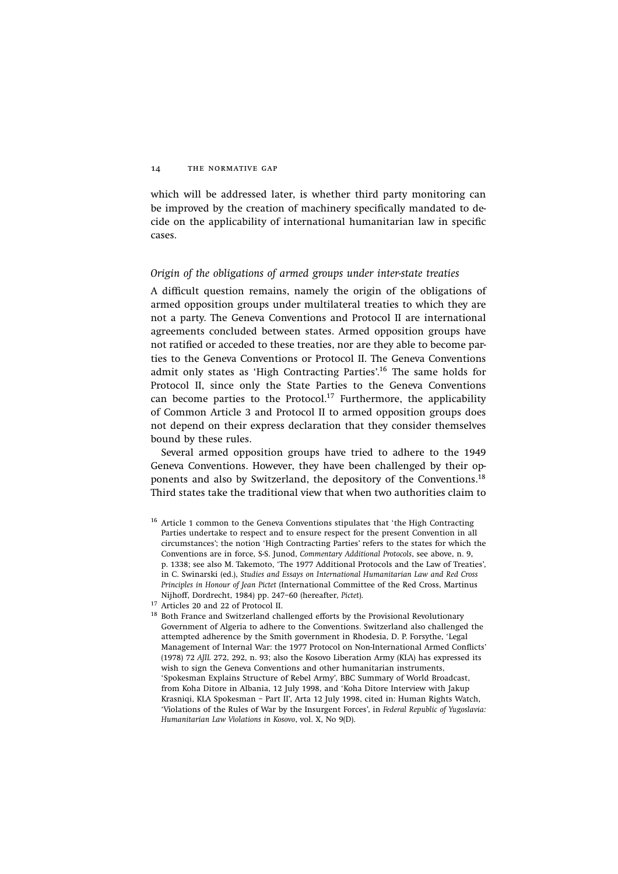which will be addressed later, is whether third party monitoring can be improved by the creation of machinery specifically mandated to decide on the applicability of international humanitarian law in specific cases.

# *Origin of the obligations of armed groups under inter-state treaties*

A difficult question remains, namely the origin of the obligations of armed opposition groups under multilateral treaties to which they are not a party. The Geneva Conventions and Protocol II are international agreements concluded between states. Armed opposition groups have not ratified or acceded to these treaties, nor are they able to become parties to the Geneva Conventions or Protocol II. The Geneva Conventions admit only states as 'High Contracting Parties'.16 The same holds for Protocol II, since only the State Parties to the Geneva Conventions can become parties to the Protocol.<sup>17</sup> Furthermore, the applicability of Common Article 3 and Protocol II to armed opposition groups does not depend on their express declaration that they consider themselves bound by these rules.

Several armed opposition groups have tried to adhere to the 1949 Geneva Conventions. However, they have been challenged by their opponents and also by Switzerland, the depository of the Conventions.18 Third states take the traditional view that when two authorities claim to

<sup>16</sup> Article 1 common to the Geneva Conventions stipulates that 'the High Contracting Parties undertake to respect and to ensure respect for the present Convention in all circumstances'; the notion 'High Contracting Parties' refers to the states for which the Conventions are in force, S-S. Junod, *Commentary Additional Protocols*, see above, n. 9, p. 1338; see also M. Takemoto, 'The 1977 Additional Protocols and the Law of Treaties', in C. Swinarski (ed.), *Studies and Essays on International Humanitarian Law and Red Cross Principles in Honour of Jean Pictet* (International Committee of the Red Cross, Martinus Nijhoff, Dordrecht, 1984) pp. 247–60 (hereafter, *Pictet*).

<sup>17</sup> Articles 20 and 22 of Protocol II.

<sup>&</sup>lt;sup>18</sup> Both France and Switzerland challenged efforts by the Provisional Revolutionary Government of Algeria to adhere to the Conventions. Switzerland also challenged the attempted adherence by the Smith government in Rhodesia, D. P. Forsythe, 'Legal Management of Internal War: the 1977 Protocol on Non-International Armed Conflicts' (1978) 72 *AJIL* 272, 292, n. 93; also the Kosovo Liberation Army (KLA) has expressed its wish to sign the Geneva Conventions and other humanitarian instruments, 'Spokesman Explains Structure of Rebel Army', BBC Summary of World Broadcast, from Koha Ditore in Albania, 12 July 1998, and 'Koha Ditore Interview with Jakup Krasniqi, KLA Spokesman – Part II', Arta 12 July 1998, cited in: Human Rights Watch, 'Violations of the Rules of War by the Insurgent Forces', in *Federal Republic of Yugoslavia: Humanitarian Law Violations in Kosovo*, vol. X, No 9(D).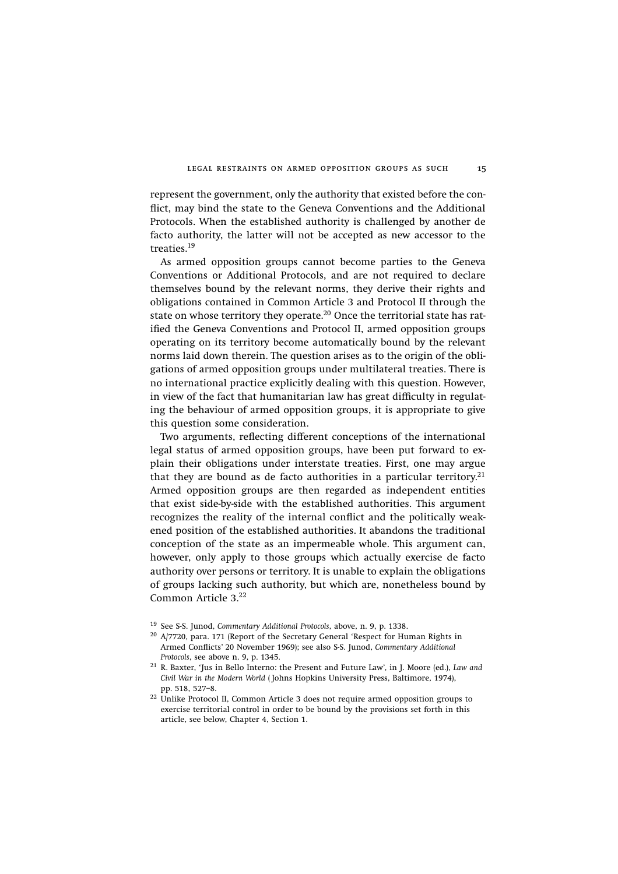represent the government, only the authority that existed before the conflict, may bind the state to the Geneva Conventions and the Additional Protocols. When the established authority is challenged by another de facto authority, the latter will not be accepted as new accessor to the treaties<sup>19</sup>

As armed opposition groups cannot become parties to the Geneva Conventions or Additional Protocols, and are not required to declare themselves bound by the relevant norms, they derive their rights and obligations contained in Common Article 3 and Protocol II through the state on whose territory they operate. $20$  Once the territorial state has ratified the Geneva Conventions and Protocol II, armed opposition groups operating on its territory become automatically bound by the relevant norms laid down therein. The question arises as to the origin of the obligations of armed opposition groups under multilateral treaties. There is no international practice explicitly dealing with this question. However, in view of the fact that humanitarian law has great difficulty in regulating the behaviour of armed opposition groups, it is appropriate to give this question some consideration.

Two arguments, reflecting different conceptions of the international legal status of armed opposition groups, have been put forward to explain their obligations under interstate treaties. First, one may argue that they are bound as de facto authorities in a particular territory. $21$ Armed opposition groups are then regarded as independent entities that exist side-by-side with the established authorities. This argument recognizes the reality of the internal conflict and the politically weakened position of the established authorities. It abandons the traditional conception of the state as an impermeable whole. This argument can, however, only apply to those groups which actually exercise de facto authority over persons or territory. It is unable to explain the obligations of groups lacking such authority, but which are, nonetheless bound by Common Article 3.22

<sup>19</sup> See S-S. Junod, *Commentary Additional Protocols*, above, n. 9, p. 1338.

 $20$  A/7720, para. 171 (Report of the Secretary General 'Respect for Human Rights in Armed Conflicts' 20 November 1969); see also S-S. Junod, *Commentary Additional Protocols*, see above n. 9, p. 1345.

<sup>21</sup> R. Baxter, 'Jus in Bello Interno: the Present and Future Law', in J. Moore (ed.), *Law and Civil War in the Modern World* ( Johns Hopkins University Press, Baltimore, 1974), pp. 518, 527–8.

<sup>&</sup>lt;sup>22</sup> Unlike Protocol II, Common Article 3 does not require armed opposition groups to exercise territorial control in order to be bound by the provisions set forth in this article, see below, Chapter 4, Section 1.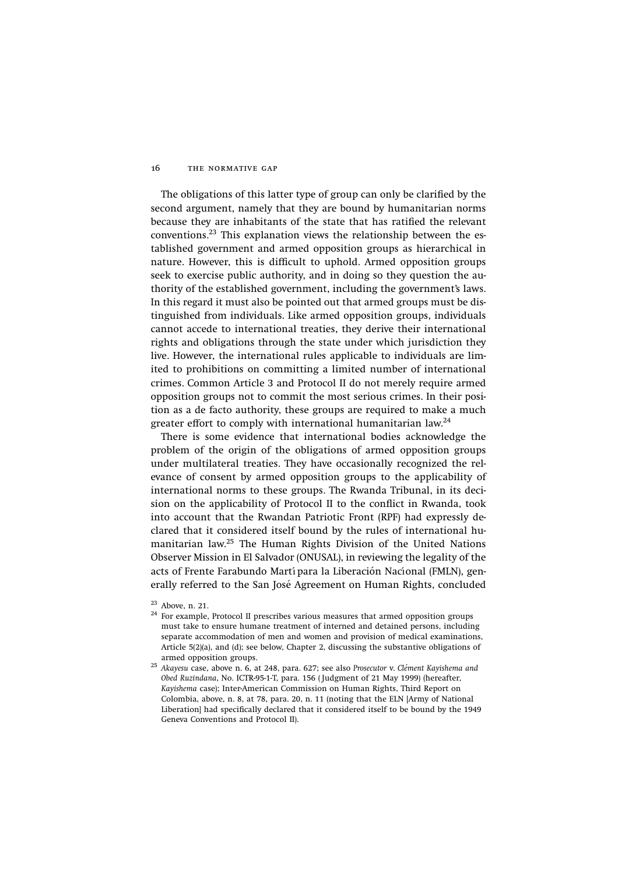The obligations of this latter type of group can only be clarified by the second argument, namely that they are bound by humanitarian norms because they are inhabitants of the state that has ratified the relevant conventions.23 This explanation views the relationship between the established government and armed opposition groups as hierarchical in nature. However, this is difficult to uphold. Armed opposition groups seek to exercise public authority, and in doing so they question the authority of the established government, including the government's laws. In this regard it must also be pointed out that armed groups must be distinguished from individuals. Like armed opposition groups, individuals cannot accede to international treaties, they derive their international rights and obligations through the state under which jurisdiction they live. However, the international rules applicable to individuals are limited to prohibitions on committing a limited number of international crimes. Common Article 3 and Protocol II do not merely require armed opposition groups not to commit the most serious crimes. In their position as a de facto authority, these groups are required to make a much greater effort to comply with international humanitarian law.24

There is some evidence that international bodies acknowledge the problem of the origin of the obligations of armed opposition groups under multilateral treaties. They have occasionally recognized the relevance of consent by armed opposition groups to the applicability of international norms to these groups. The Rwanda Tribunal, in its decision on the applicability of Protocol II to the conflict in Rwanda, took into account that the Rwandan Patriotic Front (RPF) had expressly declared that it considered itself bound by the rules of international humanitarian law.25 The Human Rights Division of the United Nations Observer Mission in El Salvador (ONUSAL), in reviewing the legality of the acts of Frente Farabundo Martí para la Liberación Nacíonal (FMLN), generally referred to the San Jose Agreement on Human Rights, concluded ´

<sup>23</sup> Above, n. 21.

<sup>&</sup>lt;sup>24</sup> For example, Protocol II prescribes various measures that armed opposition groups must take to ensure humane treatment of interned and detained persons, including separate accommodation of men and women and provision of medical examinations, Article 5(2)(a), and (d); see below, Chapter 2, discussing the substantive obligations of armed opposition groups.

<sup>25</sup> *Akayesu* case, above n. 6, at 248, para. 627; see also *Prosecutor* v. *Clement Kayishema and ´ Obed Ruzindana*, No. ICTR-95-1-T, para. 156 ( Judgment of 21 May 1999) (hereafter, *Kayishema* case); Inter-American Commission on Human Rights, Third Report on Colombia, above, n. 8, at 78, para. 20, n. 11 (noting that the ELN [Army of National Liberation] had specifically declared that it considered itself to be bound by the 1949 Geneva Conventions and Protocol II).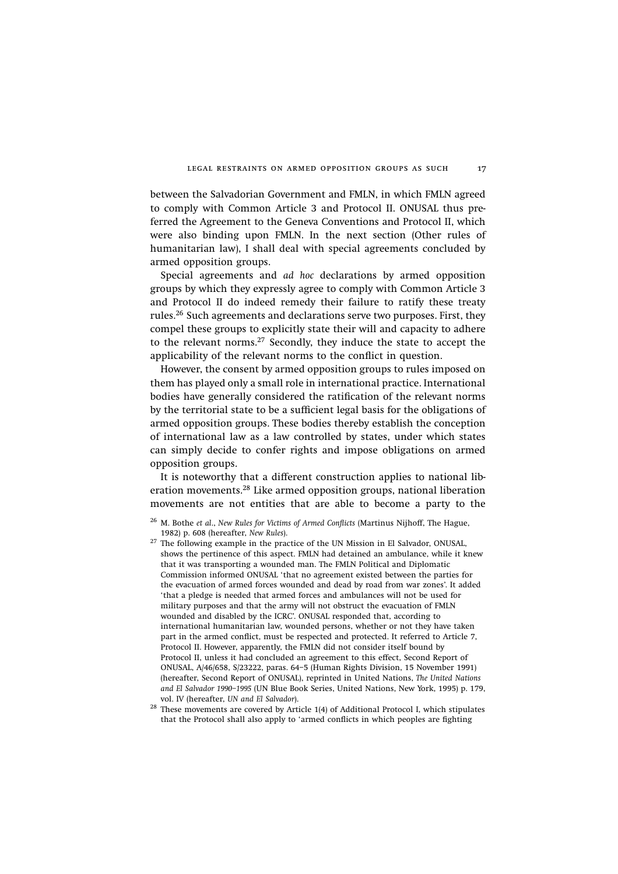between the Salvadorian Government and FMLN, in which FMLN agreed to comply with Common Article 3 and Protocol II. ONUSAL thus preferred the Agreement to the Geneva Conventions and Protocol II, which were also binding upon FMLN. In the next section (Other rules of humanitarian law), I shall deal with special agreements concluded by armed opposition groups.

Special agreements and *ad hoc* declarations by armed opposition groups by which they expressly agree to comply with Common Article 3 and Protocol II do indeed remedy their failure to ratify these treaty rules.26 Such agreements and declarations serve two purposes. First, they compel these groups to explicitly state their will and capacity to adhere to the relevant norms.27 Secondly, they induce the state to accept the applicability of the relevant norms to the conflict in question.

However, the consent by armed opposition groups to rules imposed on them has played only a small role in international practice. International bodies have generally considered the ratification of the relevant norms by the territorial state to be a sufficient legal basis for the obligations of armed opposition groups. These bodies thereby establish the conception of international law as a law controlled by states, under which states can simply decide to confer rights and impose obligations on armed opposition groups.

It is noteworthy that a different construction applies to national liberation movements.<sup>28</sup> Like armed opposition groups, national liberation movements are not entities that are able to become a party to the

- <sup>27</sup> The following example in the practice of the UN Mission in El Salvador, ONUSAL, shows the pertinence of this aspect. FMLN had detained an ambulance, while it knew that it was transporting a wounded man. The FMLN Political and Diplomatic Commission informed ONUSAL 'that no agreement existed between the parties for the evacuation of armed forces wounded and dead by road from war zones'. It added 'that a pledge is needed that armed forces and ambulances will not be used for military purposes and that the army will not obstruct the evacuation of FMLN wounded and disabled by the ICRC'. ONUSAL responded that, according to international humanitarian law, wounded persons, whether or not they have taken part in the armed conflict, must be respected and protected. It referred to Article 7, Protocol II. However, apparently, the FMLN did not consider itself bound by Protocol II, unless it had concluded an agreement to this effect, Second Report of ONUSAL, A/46/658, S/23222, paras. 64–5 (Human Rights Division, 15 November 1991) (hereafter, Second Report of ONUSAL), reprinted in United Nations, *The United Nations and El Salvador 1990–1995* (UN Blue Book Series, United Nations, New York, 1995) p. 179, vol. IV (hereafter, *UN and El Salvador*).
- $28$  These movements are covered by Article 1(4) of Additional Protocol I, which stipulates that the Protocol shall also apply to 'armed conflicts in which peoples are fighting

<sup>26</sup> M. Bothe *et al*., *New Rules for Victims of Armed Conflicts* (Martinus Nijhoff, The Hague, 1982) p. 608 (hereafter, *New Rules*).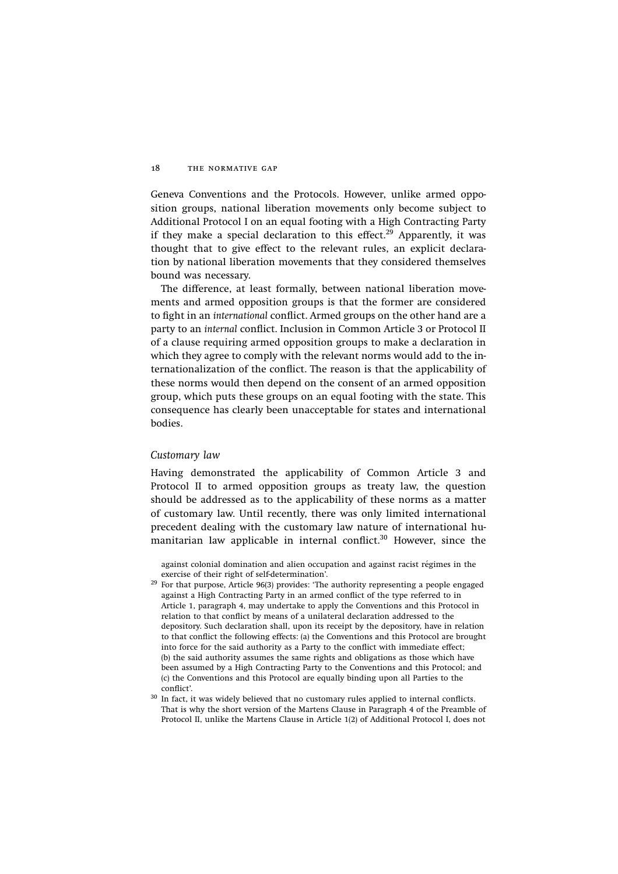Geneva Conventions and the Protocols. However, unlike armed opposition groups, national liberation movements only become subject to Additional Protocol I on an equal footing with a High Contracting Party if they make a special declaration to this effect.<sup>29</sup> Apparently, it was thought that to give effect to the relevant rules, an explicit declaration by national liberation movements that they considered themselves bound was necessary.

The difference, at least formally, between national liberation movements and armed opposition groups is that the former are considered to fight in an *international* conflict. Armed groups on the other hand are a party to an *internal* conflict. Inclusion in Common Article 3 or Protocol II of a clause requiring armed opposition groups to make a declaration in which they agree to comply with the relevant norms would add to the internationalization of the conflict. The reason is that the applicability of these norms would then depend on the consent of an armed opposition group, which puts these groups on an equal footing with the state. This consequence has clearly been unacceptable for states and international bodies.

### *Customary law*

Having demonstrated the applicability of Common Article 3 and Protocol II to armed opposition groups as treaty law, the question should be addressed as to the applicability of these norms as a matter of customary law. Until recently, there was only limited international precedent dealing with the customary law nature of international humanitarian law applicable in internal conflict.<sup>30</sup> However, since the

against colonial domination and alien occupation and against racist regimes in the ´ exercise of their right of self-determination'.

- <sup>29</sup> For that purpose, Article 96(3) provides: 'The authority representing a people engaged against a High Contracting Party in an armed conflict of the type referred to in Article 1, paragraph 4, may undertake to apply the Conventions and this Protocol in relation to that conflict by means of a unilateral declaration addressed to the depository. Such declaration shall, upon its receipt by the depository, have in relation to that conflict the following effects: (a) the Conventions and this Protocol are brought into force for the said authority as a Party to the conflict with immediate effect; (b) the said authority assumes the same rights and obligations as those which have been assumed by a High Contracting Party to the Conventions and this Protocol; and (c) the Conventions and this Protocol are equally binding upon all Parties to the conflict'.
- <sup>30</sup> In fact, it was widely believed that no customary rules applied to internal conflicts. That is why the short version of the Martens Clause in Paragraph 4 of the Preamble of Protocol II, unlike the Martens Clause in Article 1(2) of Additional Protocol I, does not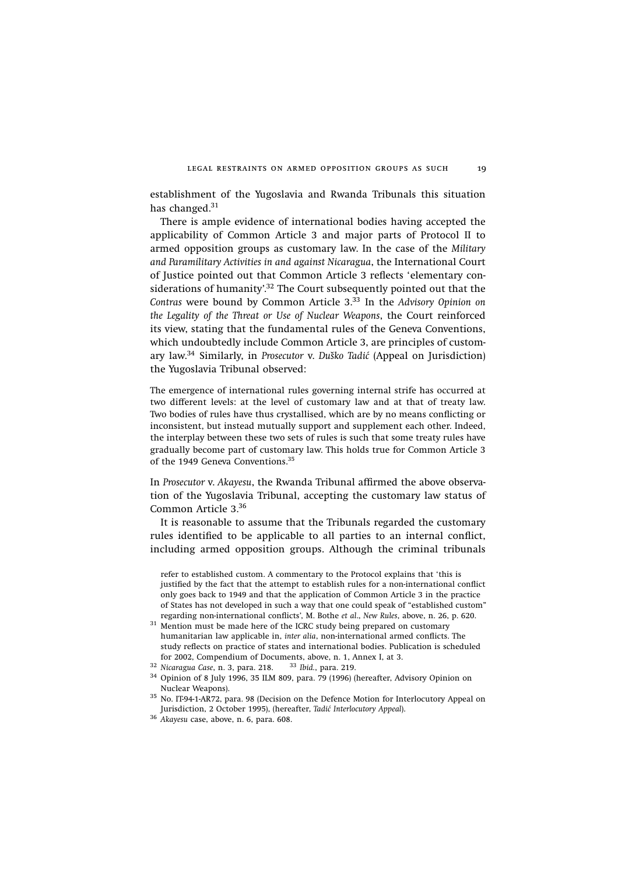establishment of the Yugoslavia and Rwanda Tribunals this situation has changed.<sup>31</sup>

There is ample evidence of international bodies having accepted the applicability of Common Article 3 and major parts of Protocol II to armed opposition groups as customary law. In the case of the *Military and Paramilitary Activities in and against Nicaragua*, the International Court of Justice pointed out that Common Article 3 reflects 'elementary considerations of humanity'.<sup>32</sup> The Court subsequently pointed out that the *Contras* were bound by Common Article 3.33 In the *Advisory Opinion on the Legality of the Threat or Use of Nuclear Weapons*, the Court reinforced its view, stating that the fundamental rules of the Geneva Conventions, which undoubtedly include Common Article 3, are principles of customary law.<sup>34</sup> Similarly, in *Prosecutor* v. *Duˇsko Tadic´* (Appeal on Jurisdiction) the Yugoslavia Tribunal observed:

The emergence of international rules governing internal strife has occurred at two different levels: at the level of customary law and at that of treaty law. Two bodies of rules have thus crystallised, which are by no means conflicting or inconsistent, but instead mutually support and supplement each other. Indeed, the interplay between these two sets of rules is such that some treaty rules have gradually become part of customary law. This holds true for Common Article 3 of the 1949 Geneva Conventions.<sup>35</sup>

In *Prosecutor* v. *Akayesu*, the Rwanda Tribunal affirmed the above observation of the Yugoslavia Tribunal, accepting the customary law status of Common Article 3.36

It is reasonable to assume that the Tribunals regarded the customary rules identified to be applicable to all parties to an internal conflict, including armed opposition groups. Although the criminal tribunals

refer to established custom. A commentary to the Protocol explains that 'this is justified by the fact that the attempt to establish rules for a non-international conflict only goes back to 1949 and that the application of Common Article 3 in the practice of States has not developed in such a way that one could speak of "established custom" regarding non-international conflicts', M. Bothe *et al*., *New Rules*, above, n. 26, p. 620.

- <sup>31</sup> Mention must be made here of the ICRC study being prepared on customary humanitarian law applicable in, *inter alia*, non-international armed conflicts. The study reflects on practice of states and international bodies. Publication is scheduled for 2002, Compendium of Documents, above, n. 1, Annex I, at 3.
- <sup>32</sup> *Nicaragua Case*, n. 3, para. 218. <sup>33</sup> *Ibid.*, para. 219.
- <sup>34</sup> Opinion of 8 July 1996, 35 ILM 809, para. 79 (1996) (hereafter, Advisory Opinion on Nuclear Weapons).
- <sup>35</sup> No. IT-94-1-AR72, para. 98 (Decision on the Defence Motion for Interlocutory Appeal on Jurisdiction, 2 October 1995), (hereafter, *Tadić Interlocutory Appeal*).
- <sup>36</sup> *Akayesu* case, above, n. 6, para. 608.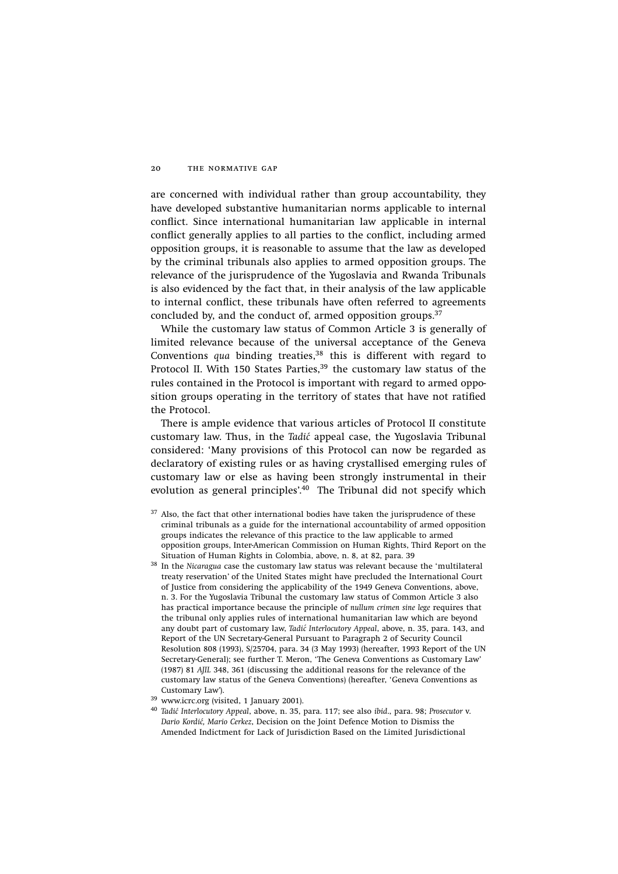are concerned with individual rather than group accountability, they have developed substantive humanitarian norms applicable to internal conflict. Since international humanitarian law applicable in internal conflict generally applies to all parties to the conflict, including armed opposition groups, it is reasonable to assume that the law as developed by the criminal tribunals also applies to armed opposition groups. The relevance of the jurisprudence of the Yugoslavia and Rwanda Tribunals is also evidenced by the fact that, in their analysis of the law applicable to internal conflict, these tribunals have often referred to agreements concluded by, and the conduct of, armed opposition groups.<sup>37</sup>

While the customary law status of Common Article 3 is generally of limited relevance because of the universal acceptance of the Geneva Conventions *qua* binding treaties,<sup>38</sup> this is different with regard to Protocol II. With 150 States Parties,<sup>39</sup> the customary law status of the rules contained in the Protocol is important with regard to armed opposition groups operating in the territory of states that have not ratified the Protocol.

There is ample evidence that various articles of Protocol II constitute customary law. Thus, in the *Tadic´* appeal case, the Yugoslavia Tribunal considered: 'Many provisions of this Protocol can now be regarded as declaratory of existing rules or as having crystallised emerging rules of customary law or else as having been strongly instrumental in their evolution as general principles'.<sup>40</sup> The Tribunal did not specify which

- <sup>37</sup> Also, the fact that other international bodies have taken the jurisprudence of these criminal tribunals as a guide for the international accountability of armed opposition groups indicates the relevance of this practice to the law applicable to armed opposition groups, Inter-American Commission on Human Rights, Third Report on the Situation of Human Rights in Colombia, above, n. 8, at 82, para. 39
- <sup>38</sup> In the *Nicaragua* case the customary law status was relevant because the 'multilateral treaty reservation' of the United States might have precluded the International Court of Justice from considering the applicability of the 1949 Geneva Conventions, above, n. 3. For the Yugoslavia Tribunal the customary law status of Common Article 3 also has practical importance because the principle of *nullum crimen sine lege* requires that the tribunal only applies rules of international humanitarian law which are beyond any doubt part of customary law, *Tadić Interlocutory Appeal*, above, n. 35, para. 143, and Report of the UN Secretary-General Pursuant to Paragraph 2 of Security Council Resolution 808 (1993), S/25704, para. 34 (3 May 1993) (hereafter, 1993 Report of the UN Secretary-General); see further T. Meron, 'The Geneva Conventions as Customary Law' (1987) 81 *AJIL* 348, 361 (discussing the additional reasons for the relevance of the customary law status of the Geneva Conventions) (hereafter, 'Geneva Conventions as Customary Law').
- <sup>39</sup> www.icrc.org (visited, 1 January 2001).
- <sup>40</sup> *Tadić Interlocutory Appeal*, above, n. 35, para. 117; see also *ibid.*, para. 98; *Prosecutor* v. Dario Kordić, Mario Cerkez, Decision on the Joint Defence Motion to Dismiss the Amended Indictment for Lack of Jurisdiction Based on the Limited Jurisdictional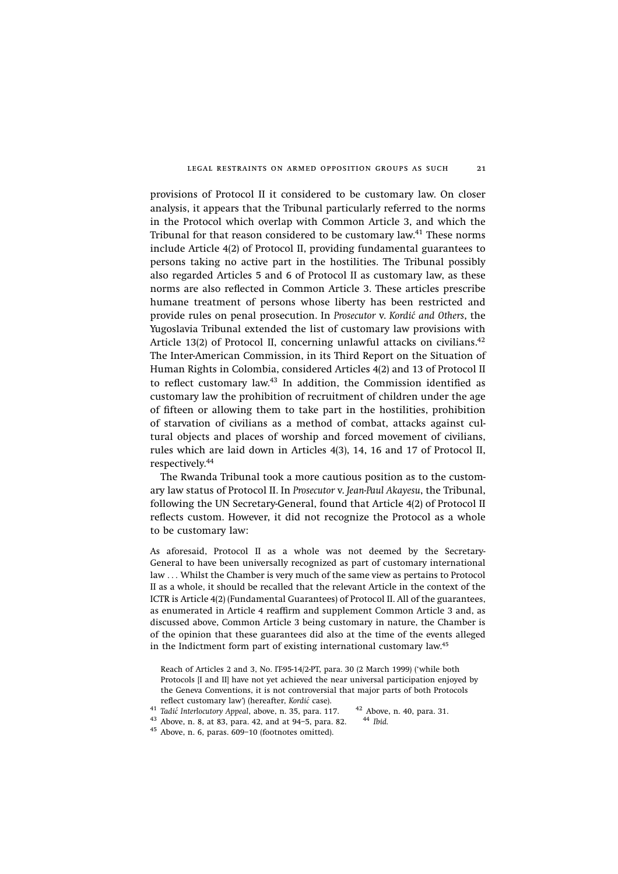provisions of Protocol II it considered to be customary law. On closer analysis, it appears that the Tribunal particularly referred to the norms in the Protocol which overlap with Common Article 3, and which the Tribunal for that reason considered to be customary law.<sup>41</sup> These norms include Article 4(2) of Protocol II, providing fundamental guarantees to persons taking no active part in the hostilities. The Tribunal possibly also regarded Articles 5 and 6 of Protocol II as customary law, as these norms are also reflected in Common Article 3. These articles prescribe humane treatment of persons whose liberty has been restricted and provide rules on penal prosecution. In *Prosecutor* v. *Kordic and Others ´* , the Yugoslavia Tribunal extended the list of customary law provisions with Article 13(2) of Protocol II, concerning unlawful attacks on civilians. $42$ The Inter-American Commission, in its Third Report on the Situation of Human Rights in Colombia, considered Articles 4(2) and 13 of Protocol II to reflect customary law.<sup>43</sup> In addition, the Commission identified as customary law the prohibition of recruitment of children under the age of fifteen or allowing them to take part in the hostilities, prohibition of starvation of civilians as a method of combat, attacks against cultural objects and places of worship and forced movement of civilians, rules which are laid down in Articles 4(3), 14, 16 and 17 of Protocol II, respectively.<sup>44</sup>

The Rwanda Tribunal took a more cautious position as to the customary law status of Protocol II. In *Prosecutor* v. *Jean-Paul Akayesu*, the Tribunal, following the UN Secretary-General, found that Article 4(2) of Protocol II reflects custom. However, it did not recognize the Protocol as a whole to be customary law:

As aforesaid, Protocol II as a whole was not deemed by the Secretary-General to have been universally recognized as part of customary international law *...* Whilst the Chamber is very much of the same view as pertains to Protocol II as a whole, it should be recalled that the relevant Article in the context of the ICTR is Article 4(2) (Fundamental Guarantees) of Protocol II. All of the guarantees, as enumerated in Article 4 reaffirm and supplement Common Article 3 and, as discussed above, Common Article 3 being customary in nature, the Chamber is of the opinion that these guarantees did also at the time of the events alleged in the Indictment form part of existing international customary law.<sup>45</sup>

Reach of Articles 2 and 3, No. IT-95-14/2-PT, para. 30 (2 March 1999) ('while both Protocols [I and II] have not yet achieved the near universal participation enjoyed by the Geneva Conventions, it is not controversial that major parts of both Protocols reflect customary law') (hereafter, *Kordic´* case).

- <sup>41</sup> *Tadić Interlocutory Appeal*, above, n. 35, para. 117. <sup>42</sup> Above, n. 40, para. 31.<br><sup>43</sup> Above. n. 8. at 83. para. 42. and at 94–5. para. 82. <sup>44</sup> *Ibid.*
- <sup>43</sup> Above, n. 8, at 83, para. 42, and at 94-5, para. 82.
- <sup>45</sup> Above, n. 6, paras. 609–10 (footnotes omitted).
- -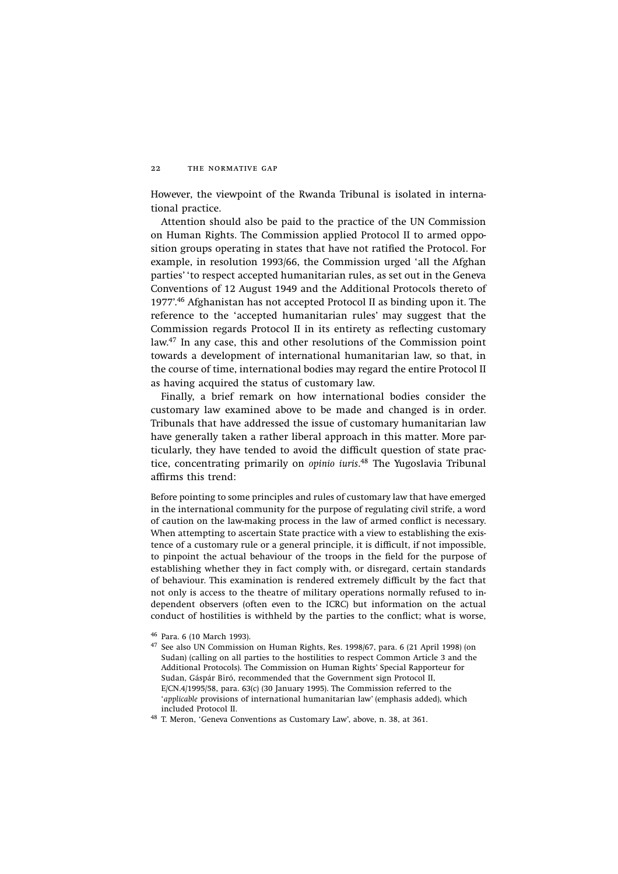However, the viewpoint of the Rwanda Tribunal is isolated in international practice.

Attention should also be paid to the practice of the UN Commission on Human Rights. The Commission applied Protocol II to armed opposition groups operating in states that have not ratified the Protocol. For example, in resolution 1993/66, the Commission urged 'all the Afghan parties' 'to respect accepted humanitarian rules, as set out in the Geneva Conventions of 12 August 1949 and the Additional Protocols thereto of 1977'.46 Afghanistan has not accepted Protocol II as binding upon it. The reference to the 'accepted humanitarian rules' may suggest that the Commission regards Protocol II in its entirety as reflecting customary law.<sup>47</sup> In any case, this and other resolutions of the Commission point towards a development of international humanitarian law, so that, in the course of time, international bodies may regard the entire Protocol II as having acquired the status of customary law.

Finally, a brief remark on how international bodies consider the customary law examined above to be made and changed is in order. Tribunals that have addressed the issue of customary humanitarian law have generally taken a rather liberal approach in this matter. More particularly, they have tended to avoid the difficult question of state practice, concentrating primarily on *opinio iuris*. <sup>48</sup> The Yugoslavia Tribunal affirms this trend:

Before pointing to some principles and rules of customary law that have emerged in the international community for the purpose of regulating civil strife, a word of caution on the law-making process in the law of armed conflict is necessary. When attempting to ascertain State practice with a view to establishing the existence of a customary rule or a general principle, it is difficult, if not impossible, to pinpoint the actual behaviour of the troops in the field for the purpose of establishing whether they in fact comply with, or disregard, certain standards of behaviour. This examination is rendered extremely difficult by the fact that not only is access to the theatre of military operations normally refused to independent observers (often even to the ICRC) but information on the actual conduct of hostilities is withheld by the parties to the conflict; what is worse,

<sup>46</sup> Para. 6 (10 March 1993).

<sup>47</sup> See also UN Commission on Human Rights, Res. 1998/67, para. 6 (21 April 1998) (on Sudan) (calling on all parties to the hostilities to respect Common Article 3 and the Additional Protocols). The Commission on Human Rights' Special Rapporteur for Sudan, Gáspár Bíró, recommended that the Government sign Protocol II, E/CN.4/1995/58, para. 63(c) (30 January 1995). The Commission referred to the '*applicable* provisions of international humanitarian law' (emphasis added), which included Protocol II.

<sup>48</sup> T. Meron, 'Geneva Conventions as Customary Law', above, n. 38, at 361.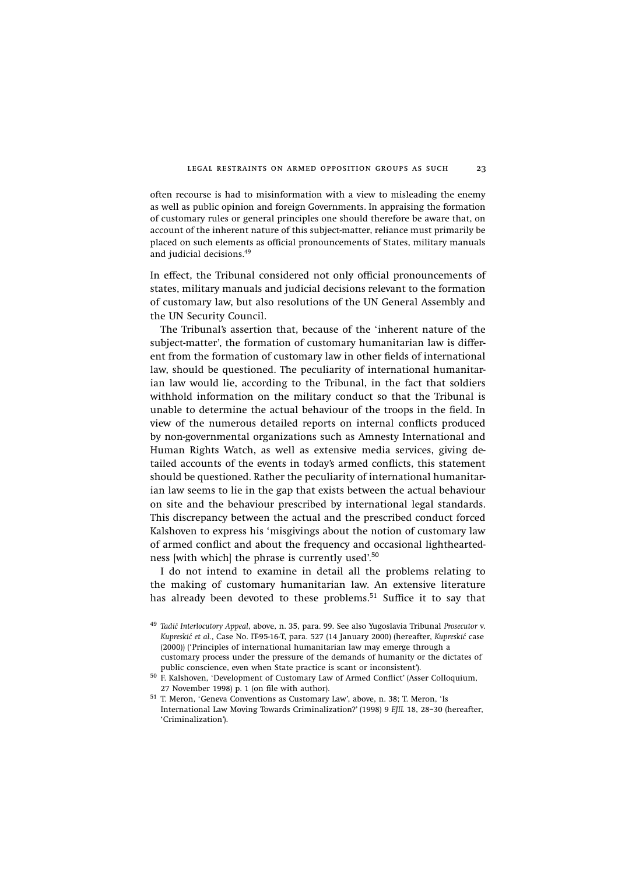often recourse is had to misinformation with a view to misleading the enemy as well as public opinion and foreign Governments. In appraising the formation of customary rules or general principles one should therefore be aware that, on account of the inherent nature of this subject-matter, reliance must primarily be placed on such elements as official pronouncements of States, military manuals and judicial decisions.<sup>49</sup>

In effect, the Tribunal considered not only official pronouncements of states, military manuals and judicial decisions relevant to the formation of customary law, but also resolutions of the UN General Assembly and the UN Security Council.

The Tribunal's assertion that, because of the 'inherent nature of the subject-matter', the formation of customary humanitarian law is different from the formation of customary law in other fields of international law, should be questioned. The peculiarity of international humanitarian law would lie, according to the Tribunal, in the fact that soldiers withhold information on the military conduct so that the Tribunal is unable to determine the actual behaviour of the troops in the field. In view of the numerous detailed reports on internal conflicts produced by non-governmental organizations such as Amnesty International and Human Rights Watch, as well as extensive media services, giving detailed accounts of the events in today's armed conflicts, this statement should be questioned. Rather the peculiarity of international humanitarian law seems to lie in the gap that exists between the actual behaviour on site and the behaviour prescribed by international legal standards. This discrepancy between the actual and the prescribed conduct forced Kalshoven to express his 'misgivings about the notion of customary law of armed conflict and about the frequency and occasional lightheartedness [with which] the phrase is currently used'.50

I do not intend to examine in detail all the problems relating to the making of customary humanitarian law. An extensive literature has already been devoted to these problems.<sup>51</sup> Suffice it to say that

<sup>51</sup> T. Meron, 'Geneva Conventions as Customary Law', above, n. 38; T. Meron, 'Is International Law Moving Towards Criminalization?' (1998) 9 *EJIL* 18, 28–30 (hereafter, 'Criminalization').

<sup>&</sup>lt;sup>49</sup> *Tadić Interlocutory Appeal*, above, n. 35, para. 99. See also Yugoslavia Tribunal Prosecutor v. *Kupreskic et al. ´* , Case No. IT-95-16-T, para. 527 (14 January 2000) (hereafter, *Kupreskic´* case (2000)) ('Principles of international humanitarian law may emerge through a customary process under the pressure of the demands of humanity or the dictates of public conscience, even when State practice is scant or inconsistent').

<sup>50</sup> F. Kalshoven, 'Development of Customary Law of Armed Conflict' (Asser Colloquium, 27 November 1998) p. 1 (on file with author).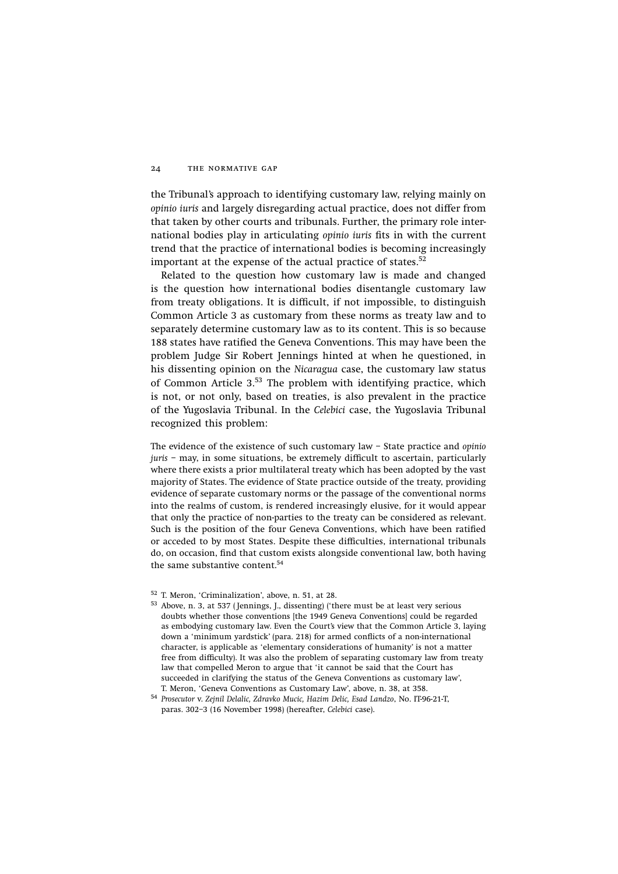the Tribunal's approach to identifying customary law, relying mainly on *opinio iuris* and largely disregarding actual practice, does not differ from that taken by other courts and tribunals. Further, the primary role international bodies play in articulating *opinio iuris* fits in with the current trend that the practice of international bodies is becoming increasingly important at the expense of the actual practice of states.<sup>52</sup>

Related to the question how customary law is made and changed is the question how international bodies disentangle customary law from treaty obligations. It is difficult, if not impossible, to distinguish Common Article 3 as customary from these norms as treaty law and to separately determine customary law as to its content. This is so because 188 states have ratified the Geneva Conventions. This may have been the problem Judge Sir Robert Jennings hinted at when he questioned, in his dissenting opinion on the *Nicaragua* case, the customary law status of Common Article 3.53 The problem with identifying practice, which is not, or not only, based on treaties, is also prevalent in the practice of the Yugoslavia Tribunal. In the *Celebici* case, the Yugoslavia Tribunal recognized this problem:

The evidence of the existence of such customary law – State practice and *opinio juris* – may, in some situations, be extremely difficult to ascertain, particularly where there exists a prior multilateral treaty which has been adopted by the vast majority of States. The evidence of State practice outside of the treaty, providing evidence of separate customary norms or the passage of the conventional norms into the realms of custom, is rendered increasingly elusive, for it would appear that only the practice of non-parties to the treaty can be considered as relevant. Such is the position of the four Geneva Conventions, which have been ratified or acceded to by most States. Despite these difficulties, international tribunals do, on occasion, find that custom exists alongside conventional law, both having the same substantive content.<sup>54</sup>

<sup>52</sup> T. Meron, 'Criminalization', above, n. 51, at 28.

<sup>53</sup> Above, n. 3, at 537 ( Jennings, J., dissenting) ('there must be at least very serious doubts whether those conventions [the 1949 Geneva Conventions] could be regarded as embodying customary law. Even the Court's view that the Common Article 3, laying down a 'minimum yardstick' (para. 218) for armed conflicts of a non-international character, is applicable as 'elementary considerations of humanity' is not a matter free from difficulty). It was also the problem of separating customary law from treaty law that compelled Meron to argue that 'it cannot be said that the Court has succeeded in clarifying the status of the Geneva Conventions as customary law', T. Meron, 'Geneva Conventions as Customary Law', above, n. 38, at 358.

<sup>54</sup> *Prosecutor* v. *Zejnil Delalic, Zdravko Mucic, Hazim Delic, Esad Landzo*, No. IT-96-21-T, paras. 302–3 (16 November 1998) (hereafter, *Celebici* case).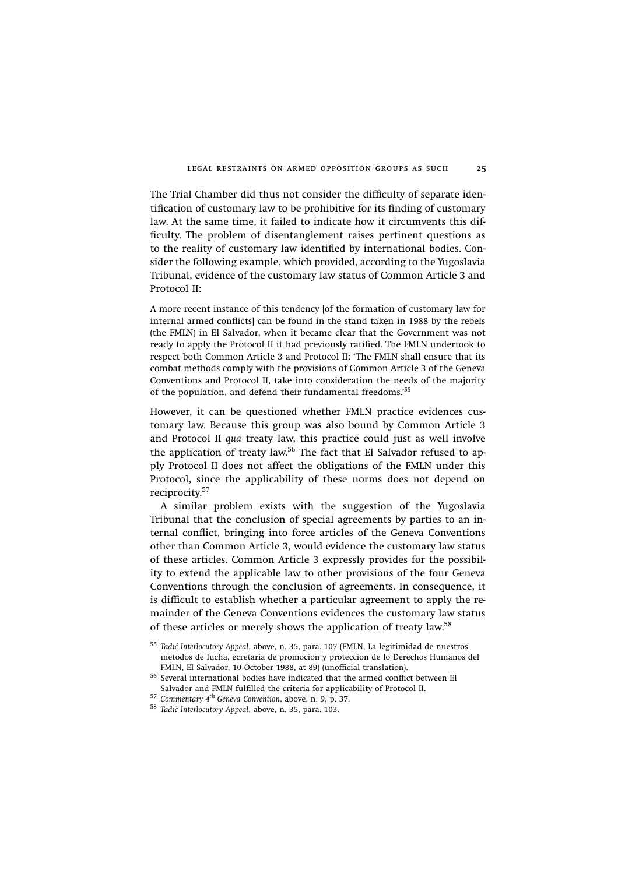The Trial Chamber did thus not consider the difficulty of separate identification of customary law to be prohibitive for its finding of customary law. At the same time, it failed to indicate how it circumvents this difficulty. The problem of disentanglement raises pertinent questions as to the reality of customary law identified by international bodies. Consider the following example, which provided, according to the Yugoslavia Tribunal, evidence of the customary law status of Common Article 3 and Protocol II:

A more recent instance of this tendency [of the formation of customary law for internal armed conflicts] can be found in the stand taken in 1988 by the rebels (the FMLN) in El Salvador, when it became clear that the Government was not ready to apply the Protocol II it had previously ratified. The FMLN undertook to respect both Common Article 3 and Protocol II: 'The FMLN shall ensure that its combat methods comply with the provisions of Common Article 3 of the Geneva Conventions and Protocol II, take into consideration the needs of the majority of the population, and defend their fundamental freedoms.'55

However, it can be questioned whether FMLN practice evidences customary law. Because this group was also bound by Common Article 3 and Protocol II *qua* treaty law, this practice could just as well involve the application of treaty law.<sup>56</sup> The fact that El Salvador refused to apply Protocol II does not affect the obligations of the FMLN under this Protocol, since the applicability of these norms does not depend on reciprocity.<sup>57</sup>

A similar problem exists with the suggestion of the Yugoslavia Tribunal that the conclusion of special agreements by parties to an internal conflict, bringing into force articles of the Geneva Conventions other than Common Article 3, would evidence the customary law status of these articles. Common Article 3 expressly provides for the possibility to extend the applicable law to other provisions of the four Geneva Conventions through the conclusion of agreements. In consequence, it is difficult to establish whether a particular agreement to apply the remainder of the Geneva Conventions evidences the customary law status of these articles or merely shows the application of treaty law.58

<sup>&</sup>lt;sup>55</sup> Tadić Interlocutory Appeal, above, n. 35, para. 107 (FMLN, La legitimidad de nuestros metodos de lucha, ecretaria de promocion y proteccion de lo Derechos Humanos del FMLN, El Salvador, 10 October 1988, at 89) (unofficial translation).

<sup>56</sup> Several international bodies have indicated that the armed conflict between El Salvador and FMLN fulfilled the criteria for applicability of Protocol II.

<sup>57</sup> *Commentary 4th Geneva Convention*, above, n. 9, p. 37.

<sup>&</sup>lt;sup>58</sup> *Tadić Interlocutory Appeal*, above, n. 35, para. 103.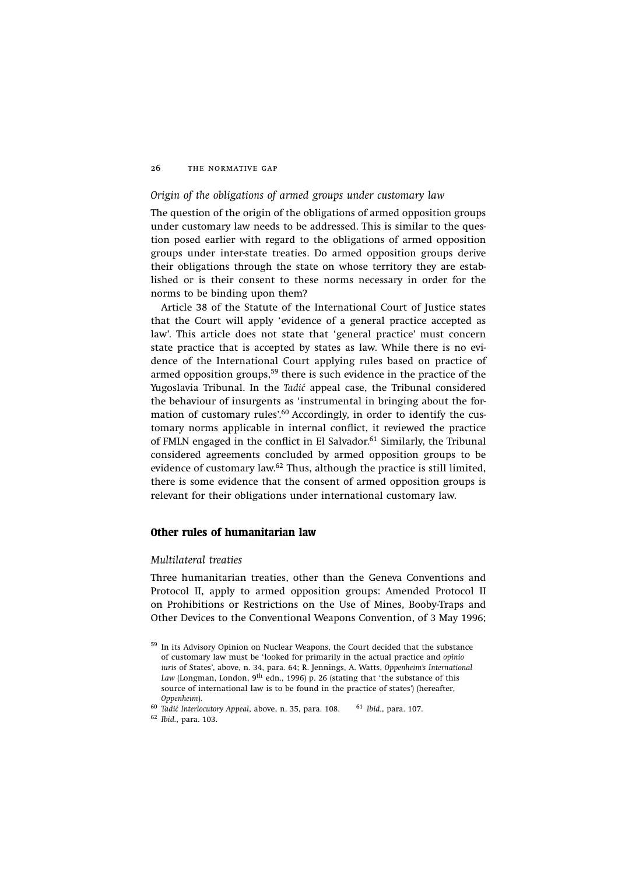# *Origin of the obligations of armed groups under customary law*

The question of the origin of the obligations of armed opposition groups under customary law needs to be addressed. This is similar to the question posed earlier with regard to the obligations of armed opposition groups under inter-state treaties. Do armed opposition groups derive their obligations through the state on whose territory they are established or is their consent to these norms necessary in order for the norms to be binding upon them?

Article 38 of the Statute of the International Court of Justice states that the Court will apply 'evidence of a general practice accepted as law'. This article does not state that 'general practice' must concern state practice that is accepted by states as law. While there is no evidence of the International Court applying rules based on practice of armed opposition groups, $59$  there is such evidence in the practice of the Yugoslavia Tribunal. In the *Tadic´* appeal case, the Tribunal considered the behaviour of insurgents as 'instrumental in bringing about the formation of customary rules'.<sup>60</sup> Accordingly, in order to identify the customary norms applicable in internal conflict, it reviewed the practice of FMLN engaged in the conflict in El Salvador.<sup>61</sup> Similarly, the Tribunal considered agreements concluded by armed opposition groups to be evidence of customary law.<sup>62</sup> Thus, although the practice is still limited, there is some evidence that the consent of armed opposition groups is relevant for their obligations under international customary law.

### **Other rules of humanitarian law**

### *Multilateral treaties*

Three humanitarian treaties, other than the Geneva Conventions and Protocol II, apply to armed opposition groups: Amended Protocol II on Prohibitions or Restrictions on the Use of Mines, Booby-Traps and Other Devices to the Conventional Weapons Convention, of 3 May 1996;

<sup>59</sup> In its Advisory Opinion on Nuclear Weapons, the Court decided that the substance of customary law must be 'looked for primarily in the actual practice and *opinio iuris* of States', above, n. 34, para. 64; R. Jennings, A. Watts, *Oppenheim's International* Law (Longman, London, 9<sup>th</sup> edn., 1996) p. 26 (stating that 'the substance of this source of international law is to be found in the practice of states') (hereafter, *Oppenheim*).

<sup>&</sup>lt;sup>60</sup> *Tadić Interlocutory Appeal*, above, n. 35, para. 108. <sup>61</sup> *Ibid.*, para. 107.

<sup>62</sup> *Ibid.*, para. 103.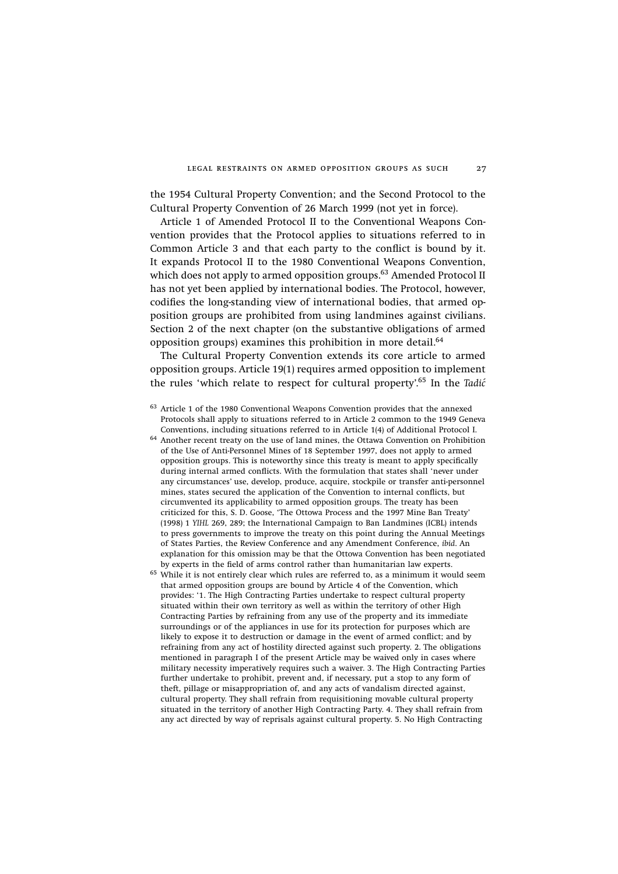the 1954 Cultural Property Convention; and the Second Protocol to the Cultural Property Convention of 26 March 1999 (not yet in force).

Article 1 of Amended Protocol II to the Conventional Weapons Convention provides that the Protocol applies to situations referred to in Common Article 3 and that each party to the conflict is bound by it. It expands Protocol II to the 1980 Conventional Weapons Convention, which does not apply to armed opposition groups.<sup>63</sup> Amended Protocol II has not yet been applied by international bodies. The Protocol, however, codifies the long-standing view of international bodies, that armed opposition groups are prohibited from using landmines against civilians. Section 2 of the next chapter (on the substantive obligations of armed opposition groups) examines this prohibition in more detail.<sup>64</sup>

The Cultural Property Convention extends its core article to armed opposition groups. Article 19(1) requires armed opposition to implement the rules 'which relate to respect for cultural property'.65 In the *Tadic´*

<sup>63</sup> Article 1 of the 1980 Conventional Weapons Convention provides that the annexed Protocols shall apply to situations referred to in Article 2 common to the 1949 Geneva Conventions, including situations referred to in Article 1(4) of Additional Protocol I.

- <sup>64</sup> Another recent treaty on the use of land mines, the Ottawa Convention on Prohibition of the Use of Anti-Personnel Mines of 18 September 1997, does not apply to armed opposition groups. This is noteworthy since this treaty is meant to apply specifically during internal armed conflicts. With the formulation that states shall 'never under any circumstances' use, develop, produce, acquire, stockpile or transfer anti-personnel mines, states secured the application of the Convention to internal conflicts, but circumvented its applicability to armed opposition groups. The treaty has been criticized for this, S. D. Goose, 'The Ottowa Process and the 1997 Mine Ban Treaty' (1998) 1 *YIHL* 269, 289; the International Campaign to Ban Landmines (ICBL) intends to press governments to improve the treaty on this point during the Annual Meetings of States Parties, the Review Conference and any Amendment Conference, *ibid*. An explanation for this omission may be that the Ottowa Convention has been negotiated by experts in the field of arms control rather than humanitarian law experts.
- <sup>65</sup> While it is not entirely clear which rules are referred to, as a minimum it would seem that armed opposition groups are bound by Article 4 of the Convention, which provides: '1. The High Contracting Parties undertake to respect cultural property situated within their own territory as well as within the territory of other High Contracting Parties by refraining from any use of the property and its immediate surroundings or of the appliances in use for its protection for purposes which are likely to expose it to destruction or damage in the event of armed conflict; and by refraining from any act of hostility directed against such property. 2. The obligations mentioned in paragraph I of the present Article may be waived only in cases where military necessity imperatively requires such a waiver. 3. The High Contracting Parties further undertake to prohibit, prevent and, if necessary, put a stop to any form of theft, pillage or misappropriation of, and any acts of vandalism directed against, cultural property. They shall refrain from requisitioning movable cultural property situated in the territory of another High Contracting Party. 4. They shall refrain from any act directed by way of reprisals against cultural property. 5. No High Contracting